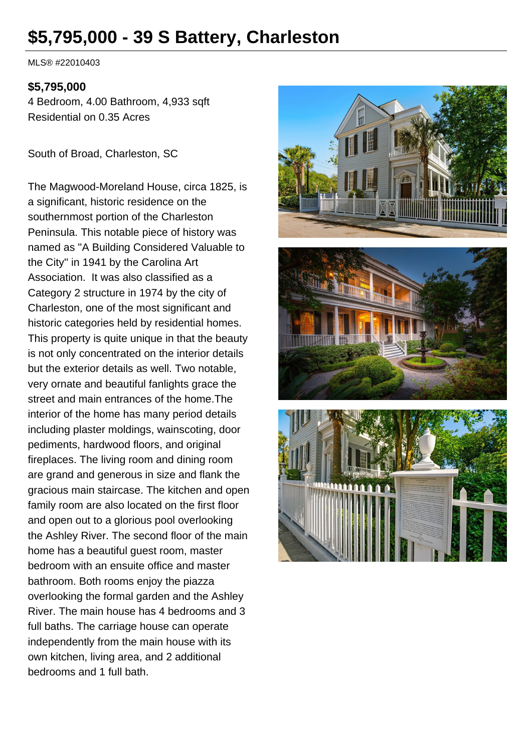# **\$5,795,000 - 39 S Battery, Charleston**

MLS® #22010403

#### **\$5,795,000**

4 Bedroom, 4.00 Bathroom, 4,933 sqft Residential on 0.35 Acres

South of Broad, Charleston, SC

The Magwood-Moreland House, circa 1825, is a significant, historic residence on the southernmost portion of the Charleston Peninsula. This notable piece of history was named as ''A Building Considered Valuable to the City'' in 1941 by the Carolina Art Association. It was also classified as a Category 2 structure in 1974 by the city of Charleston, one of the most significant and historic categories held by residential homes. This property is quite unique in that the beauty is not only concentrated on the interior details but the exterior details as well. Two notable, very ornate and beautiful fanlights grace the street and main entrances of the home.The interior of the home has many period details including plaster moldings, wainscoting, door pediments, hardwood floors, and original fireplaces. The living room and dining room are grand and generous in size and flank the gracious main staircase. The kitchen and open family room are also located on the first floor and open out to a glorious pool overlooking the Ashley River. The second floor of the main home has a beautiful guest room, master bedroom with an ensuite office and master bathroom. Both rooms enjoy the piazza overlooking the formal garden and the Ashley River. The main house has 4 bedrooms and 3 full baths. The carriage house can operate independently from the main house with its own kitchen, living area, and 2 additional bedrooms and 1 full bath.

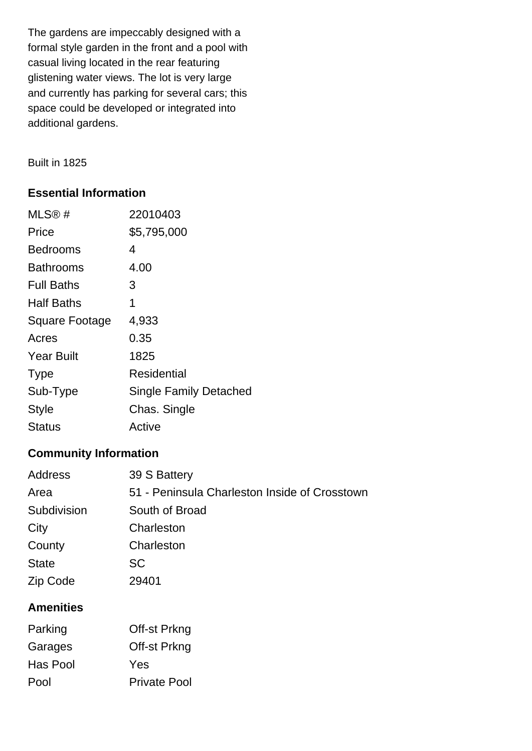The gardens are impeccably designed with a formal style garden in the front and a pool with casual living located in the rear featuring glistening water views. The lot is very large and currently has parking for several cars; this space could be developed or integrated into additional gardens.

Built in 1825

## **Essential Information**

| MLS@#                 | 22010403                      |
|-----------------------|-------------------------------|
| Price                 | \$5,795,000                   |
| Bedrooms              | 4                             |
| Bathrooms             | 4.00                          |
| <b>Full Baths</b>     | 3                             |
| Half Baths            | 1                             |
| <b>Square Footage</b> | 4,933                         |
| Acres                 | 0.35                          |
| <b>Year Built</b>     | 1825                          |
| <b>Type</b>           | Residential                   |
| Sub-Type              | <b>Single Family Detached</b> |
| <b>Style</b>          | Chas. Single                  |
| Status                | Active                        |

## **Community Information**

| <b>Address</b> | 39 S Battery                                  |
|----------------|-----------------------------------------------|
| Area           | 51 - Peninsula Charleston Inside of Crosstown |
| Subdivision    | South of Broad                                |
| City           | Charleston                                    |
| County         | Charleston                                    |
| <b>State</b>   | <b>SC</b>                                     |
| Zip Code       | 29401                                         |
|                |                                               |

## **Amenities**

| Parking  | Off-st Prkng        |
|----------|---------------------|
| Garages  | Off-st Prkng        |
| Has Pool | Yes                 |
| Pool     | <b>Private Pool</b> |